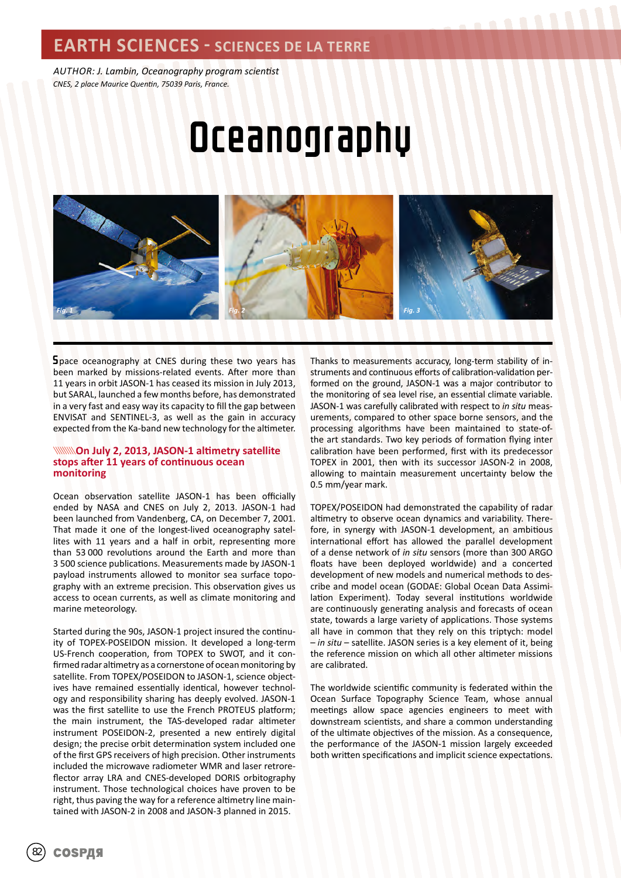### **EARTH SCIENCES - SCIENCES DE LA TERRE**

*AUTHOR: J. Lambin, Oceanography program scientist CNES, 2 place Maurice Quentin, 75039 Paris, France.*

# Oceanography



Space oceanography at CNES during these two years has been marked by missions-related events. After more than 11 years in orbit JASON-1 has ceased its mission in July 2013, but SARAL, launched a few months before, has demonstrated in a very fast and easy way its capacity to fill the gap between ENVISAT and SENTINEL-3, as well as the gain in accuracy expected from the Ka-band new technology for the altimeter.

### **WINNOn July 2, 2013, JASON-1 altimetry satellite stops after 11 years of continuous ocean monitoring**

Ocean observation satellite JASON-1 has been officially ended by NASA and CNES on July 2, 2013. JASON-1 had been launched from Vandenberg, CA, on December 7, 2001. That made it one of the longest-lived oceanography satellites with 11 years and a half in orbit, representing more than 53 000 revolutions around the Earth and more than 3 500 science publications. Measurements made by JASON-1 payload instruments allowed to monitor sea surface topography with an extreme precision. This observation gives us access to ocean currents, as well as climate monitoring and marine meteorology.

Started during the 90s, JASON-1 project insured the continuity of TOPEX-POSEIDON mission. It developed a long-term US-French cooperation, from TOPEX to SWOT, and it confirmed radar altimetry as a cornerstone of ocean monitoring by satellite. From TOPEX/POSEIDON to JASON-1, science objectives have remained essentially identical, however technology and responsibility sharing has deeply evolved. JASON-1 was the first satellite to use the French PROTEUS platform; the main instrument, the TAS-developed radar altimeter instrument POSEIDON-2, presented a new entirely digital design; the precise orbit determination system included one of the first GPS receivers of high precision. Other instruments included the microwave radiometer WMR and laser retroreflector array LRA and CNES-developed DORIS orbitography instrument. Those technological choices have proven to be right, thus paving the way for a reference altimetry line maintained with JASON-2 in 2008 and JASON-3 planned in 2015.

Thanks to measurements accuracy, long-term stability of instruments and continuous efforts of calibration-validation performed on the ground, JASON-1 was a major contributor to the monitoring of sea level rise, an essential climate variable. JASON-1 was carefully calibrated with respect to *in situ* measurements, compared to other space borne sensors, and the processing algorithms have been maintained to state-ofthe art standards. Two key periods of formation flying inter calibration have been performed, first with its predecessor TOPEX in 2001, then with its successor JASON-2 in 2008, allowing to maintain measurement uncertainty below the 0.5 mm/year mark.

TOPEX/POSEIDON had demonstrated the capability of radar altimetry to observe ocean dynamics and variability. Therefore, in synergy with JASON-1 development, an ambitious international effort has allowed the parallel development of a dense network of *in situ* sensors (more than 300 ARGO floats have been deployed worldwide) and a concerted development of new models and numerical methods to describe and model ocean (GODAE: Global Ocean Data Assimilation Experiment). Today several institutions worldwide are continuously generating analysis and forecasts of ocean state, towards a large variety of applications. Those systems all have in common that they rely on this triptych: model – *in situ* – satellite. JASON series is a key element of it, being the reference mission on which all other altimeter missions are calibrated.

The worldwide scientific community is federated within the Ocean Surface Topography Science Team, whose annual meetings allow space agencies engineers to meet with downstream scientists, and share a common understanding of the ultimate objectives of the mission. As a consequence, the performance of the JASON-1 mission largely exceeded both written specifications and implicit science expectations.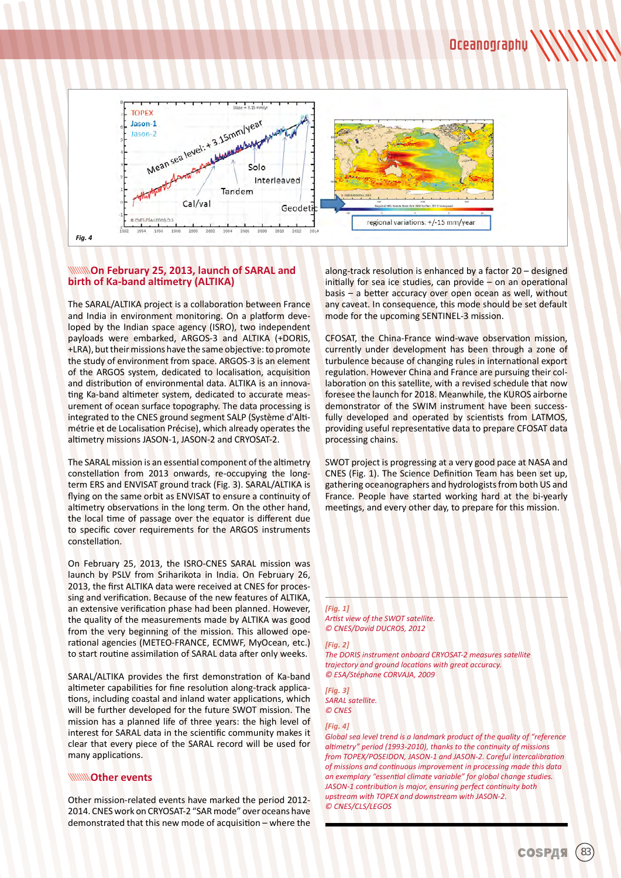

### **WINNOn February 25, 2013, launch of SARAL and birth of Ka-band altimetry (ALTIKA)**

The SARAL/ALTIKA project is a collaboration between France and India in environment monitoring. On a platform developed by the Indian space agency (ISRO), two independent payloads were embarked, ARGOS-3 and ALTIKA (+DORIS, +LRA), but their missions have the same objective: to promote the study of environment from space. ARGOS-3 is an element of the ARGOS system, dedicated to localisation, acquisition and distribution of environmental data. ALTIKA is an innovating Ka-band altimeter system, dedicated to accurate measurement of ocean surface topography. The data processing is integrated to the CNES ground segment SALP (Système d'Altimétrie et de Localisation Précise), which already operates the altimetry missions JASON-1, JASON-2 and CRYOSAT-2.

The SARAL mission is an essential component of the altimetry constellation from 2013 onwards, re-occupying the longterm ERS and ENVISAT ground track (Fig. 3). SARAL/ALTIKA is flying on the same orbit as ENVISAT to ensure a continuity of altimetry observations in the long term. On the other hand, the local time of passage over the equator is different due to specific cover requirements for the ARGOS instruments constellation.

On February 25, 2013, the ISRO-CNES SARAL mission was launch by PSLV from Sriharikota in India. On February 26, 2013, the first ALTIKA data were received at CNES for processing and verification. Because of the new features of ALTIKA, an extensive verification phase had been planned. However, the quality of the measurements made by ALTIKA was good from the very beginning of the mission. This allowed operational agencies (METEO-FRANCE, ECMWF, MyOcean, etc.) to start routine assimilation of SARAL data after only weeks.

SARAL/ALTIKA provides the first demonstration of Ka-band altimeter capabilities for fine resolution along-track applications, including coastal and inland water applications, which will be further developed for the future SWOT mission. The mission has a planned life of three years: the high level of interest for SARAL data in the scientific community makes it clear that every piece of the SARAL record will be used for many applications.

### **Other events**

Other mission-related events have marked the period 2012- 2014. CNES work on CRYOSAT-2 "SAR mode" over oceans have demonstrated that this new mode of acquisition – where the

along-track resolution is enhanced by a factor 20 – designed initially for sea ice studies, can provide – on an operational basis – a better accuracy over open ocean as well, without any caveat. In consequence, this mode should be set default mode for the upcoming SENTINEL-3 mission.

CFOSAT, the China-France wind-wave observation mission, currently under development has been through a zone of turbulence because of changing rules in international export regulation. However China and France are pursuing their collaboration on this satellite, with a revised schedule that now foresee the launch for 2018. Meanwhile, the KUROS airborne demonstrator of the SWIM instrument have been successfully developed and operated by scientists from LATMOS, providing useful representative data to prepare CFOSAT data processing chains.

SWOT project is progressing at a very good pace at NASA and CNES (Fig. 1). The Science Definition Team has been set up, gathering oceanographers and hydrologists from both US and France. People have started working hard at the bi-yearly meetings, and every other day, to prepare for this mission.

### *[Fig. 1] Artist view of the SWOT satellite.*

*© CNES/David DUCROS, 2012*

### *[Fig. 2]*

*The DORIS instrument onboard CRYOSAT-2 measures satellite trajectory and ground locations with great accuracy. © ESA/Stéphane CORVAJA, 2009*

*[Fig. 3] SARAL satellite. © CNES*

### *[Fig. 4]*

*Global sea level trend is a landmark product of the quality of "reference altimetry" period (1993-2010), thanks to the continuity of missions from TOPEX/POSEIDON, JASON-1 and JASON-2. Careful intercalibration of missions and continuous improvement in processing made this data an exemplary "essential climate variable" for global change studies. JASON-1 contribution is major, ensuring perfect continuity both upstream with TOPEX and downstream with JASON-2. © CNES/CLS/LEGOS*

COSPAS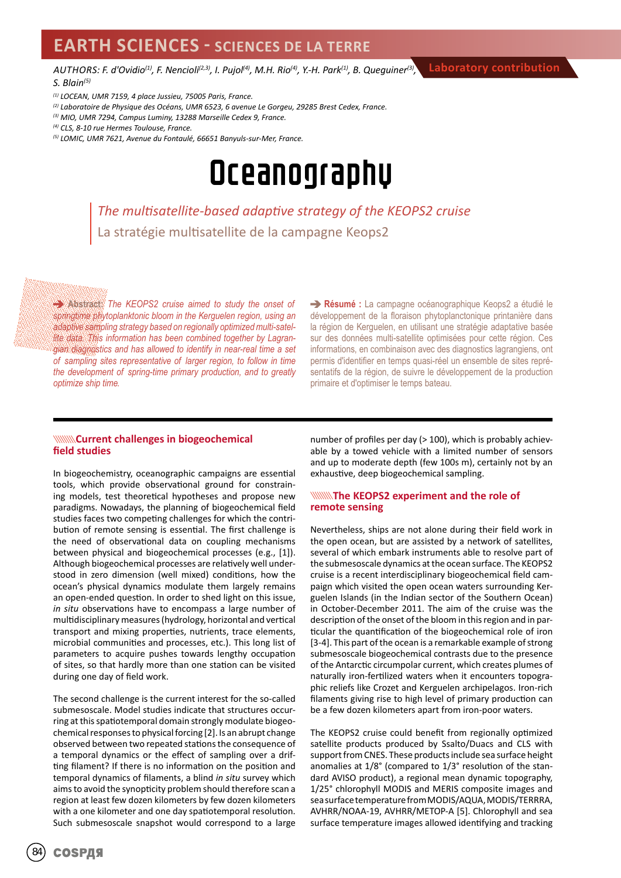### **EARTH SCIENCES - SCIENCES DE LA TERRE**

*AUTHORS: F. d'Ovidio(1), F. Nencioli(2,3), I. Pujol(4), M.H. Rio(4), Y.-H. Park(1), B. Queguiner(3), S. Blain(5)*

- *(1) LOCEAN, UMR 7159, 4 place Jussieu, 75005 Paris, France.*
- *(2) Laboratoire de Physique des Océans, UMR 6523, 6 avenue Le Gorgeu, 29285 Brest Cedex, France.*
- *(3) MIO, UMR 7294, Campus Luminy, 13288 Marseille Cedex 9, France.*
- *(4) CLS, 8-10 rue Hermes Toulouse, France.*
- *(5) LOMIC, UMR 7621, Avenue du Fontaulé, 66651 Banyuls-sur-Mer, France.*

## Oceanography

*The multisatellite-based adaptive strategy of the KEOPS2 cruise* La stratégie multisatellite de la campagne Keops2

**Abstract:** *The KEOPS2 cruise aimed to study the onset of springtime phytoplanktonic bloom in the Kerguelen region, using an adaptive sampling strategy based on regionally optimized multi-satellite data. This information has been combined together by Lagrangian diagnostics and has allowed to identify in near-real time a set of sampling sites representative of larger region, to follow in time the development of spring-time primary production, and to greatly optimize ship time.* 

**Résumé :** La campagne océanographique Keops2 a étudié le développement de la floraison phytoplanctonique printanière dans la région de Kerguelen, en utilisant une stratégie adaptative basée sur des données multi-satellite optimisées pour cette région. Ces informations, en combinaison avec des diagnostics lagrangiens, ont permis d'identifier en temps quasi-réel un ensemble de sites représentatifs de la région, de suivre le développement de la production primaire et d'optimiser le temps bateau.

### **WAYANTED CURRENT CHALLENGES IN biogeochemical field studies**

In biogeochemistry, oceanographic campaigns are essential tools, which provide observational ground for constraining models, test theoretical hypotheses and propose new paradigms. Nowadays, the planning of biogeochemical field studies faces two competing challenges for which the contribution of remote sensing is essential. The first challenge is the need of observational data on coupling mechanisms between physical and biogeochemical processes (e.g., [1]). Although biogeochemical processes are relatively well understood in zero dimension (well mixed) conditions, how the ocean's physical dynamics modulate them largely remains an open-ended question. In order to shed light on this issue, *in situ* observations have to encompass a large number of multidisciplinary measures (hydrology, horizontal and vertical transport and mixing properties, nutrients, trace elements, microbial communities and processes, etc.). This long list of parameters to acquire pushes towards lengthy occupation of sites, so that hardly more than one station can be visited during one day of field work.

The second challenge is the current interest for the so-called submesoscale. Model studies indicate that structures occurring at this spatiotemporal domain strongly modulate biogeochemical responses to physical forcing [2]. Is an abrupt change observed between two repeated stations the consequence of a temporal dynamics or the effect of sampling over a drifting filament? If there is no information on the position and temporal dynamics of filaments, a blind *in situ* survey which aims to avoid the synopticity problem should therefore scan a region at least few dozen kilometers by few dozen kilometers with a one kilometer and one day spatiotemporal resolution. Such submesoscale snapshot would correspond to a large

number of profiles per day (> 100), which is probably achievable by a towed vehicle with a limited number of sensors and up to moderate depth (few 100s m), certainly not by an exhaustive, deep biogeochemical sampling.

### **The KEOPS2 experiment and the role of remote sensing**

Nevertheless, ships are not alone during their field work in the open ocean, but are assisted by a network of satellites, several of which embark instruments able to resolve part of the submesoscale dynamics at the ocean surface. The KEOPS2 cruise is a recent interdisciplinary biogeochemical field campaign which visited the open ocean waters surrounding Kerguelen Islands (in the Indian sector of the Southern Ocean) in October-December 2011. The aim of the cruise was the description of the onset of the bloom in this region and in particular the quantification of the biogeochemical role of iron [3-4]. This part of the ocean is a remarkable example of strong submesoscale biogeochemical contrasts due to the presence of the Antarctic circumpolar current, which creates plumes of naturally iron-fertilized waters when it encounters topographic reliefs like Crozet and Kerguelen archipelagos. Iron-rich filaments giving rise to high level of primary production can be a few dozen kilometers apart from iron-poor waters.

The KEOPS2 cruise could benefit from regionally optimized satellite products produced by Ssalto/Duacs and CLS with support from CNES. These products include sea surface height anomalies at 1/8° (compared to 1/3° resolution of the standard AVISO product), a regional mean dynamic topography, 1/25° chlorophyll MODIS and MERIS composite images and sea surface temperature from MODIS/AQUA, MODIS/TERRRA, AVHRR/NOAA-19, AVHRR/METOP-A [5]. Chlorophyll and sea surface temperature images allowed identifying and tracking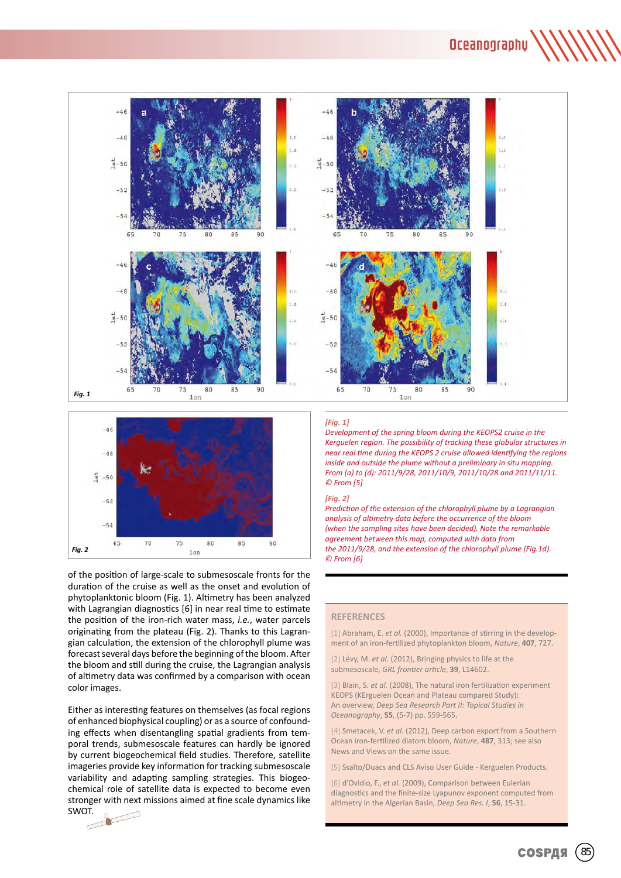Oceanography





of the position of large-scale to submesoscale fronts for the duration of the cruise as well as the onset and evolution of phytoplanktonic bloom (Fig. 1). Altimetry has been analyzed with Lagrangian diagnostics [6] in near real time to estimate the position of the iron-rich water mass, *i.e.*, water parcels originating from the plateau (Fig. 2). Thanks to this Lagrangian calculation, the extension of the chlorophyll plume was forecast several days before the beginning of the bloom. After the bloom and still during the cruise, the Lagrangian analysis of altimetry data was confirmed by a comparison with ocean color images.

Either as interesting features on themselves (as focal regions of enhanced biophysical coupling) or as a source of confounding effects when disentangling spatial gradients from temporal trends, submesoscale features can hardly be ignored by current biogeochemical field studies. Therefore, satellite imageries provide key information for tracking submesoscale variability and adapting sampling strategies. This biogeochemical role of satellite data is expected to become even stronger with next missions aimed at fine scale dynamics like SWOT.

#### *[Fig. 1]*

*Development of the spring bloom during the KEOPS2 cruise in the Kerguelen region. The possibility of tracking these globular structures in near real time during the KEOPS 2 cruise allowed identifying the regions inside and outside the plume without a preliminary in situ mapping. From (a) to (d): 2011/9/28, 2011/10/9, 2011/10/28 and 2011/11/11. © From [5]*

### *[Fig. 2]*

*Prediction of the extension of the chlorophyll plume by a Lagrangian analysis of altimetry data before the occurrence of the bloom (when the sampling sites have been decided). Note the remarkable agreement between this map, computed with data from the 2011/9/28, and the extension of the chlorophyll plume (Fig.1d). © From [6]*

### **REFERENCES**

[1] Abraham, E. et al. (2000), Importance of stirring in the development of an iron-fertilized phytoplankton bloom, *Nature*, **407**, 727.

[2] Lévy, M. *et al.* (2012), Bringing physics to life at the submesoscale, *GRL frontier article*, **39**, L14602.

[3] Blain, S. *et al.* (2008), The natural iron fertilization experiment KEOPS (KErguelen Ocean and Plateau compared Study): An overview, *Deep Sea Research Part II: Topical Studies in Oceanography*, **55**, (5-7) pp. 559-565.

[4] Smetacek, V. et al. (2012), Deep carbon export from a Southern Ocean iron-fertilized diatom bloom, *Nature*, **487**, 313; see also News and Views on the same issue.

[5] Ssalto/Duacs and CLS Aviso User Guide - Kerguelen Products.

[6] d'Ovidio, F., *et al.* (2009), Comparison between Eulerian diagnostics and the finite-size Lyapunov exponent computed from altimetry in the Algerian Basin, *Deep Sea Res. I*, **56**, 15-31.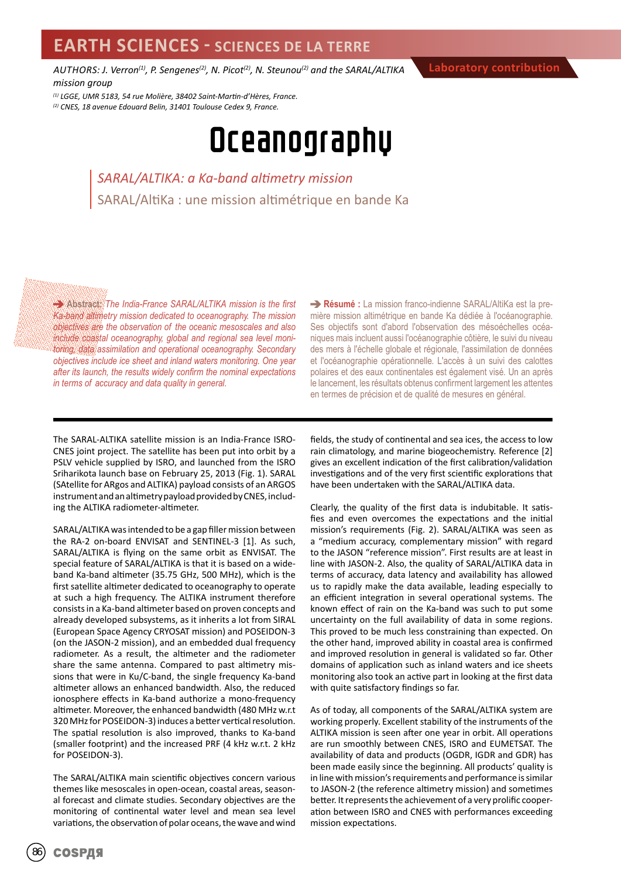*AUTHORS: J. Verron(1), P. Sengenes(2), N. Picot(2), N. Steunou(2) and the SARAL/ALTIKA mission group*

**Laboratory contribution**

*(1) LGGE, UMR 5183, 54 rue Molière, 38402 Saint-Martin-d'Hères, France. (2) CNES, 18 avenue Edouard Belin, 31401 Toulouse Cedex 9, France.*

## Oceanography

*SARAL/ALTIKA: a Ka-band altimetry mission* SARAL/AltiKa : une mission altimétrique en bande Ka

**Abstract:** *The India-France SARAL/ALTIKA mission is the first Ka-band altimetry mission dedicated to oceanography. The mission objectives are the observation of the oceanic mesoscales and also include coastal oceanography, global and regional sea level monitoring, data assimilation and operational oceanography. Secondary objectives include ice sheet and inland waters monitoring. One year after its launch, the results widely confirm the nominal expectations in terms of accuracy and data quality in general.* 

**Résumé :** La mission franco-indienne SARAL/AltiKa est la première mission altimétrique en bande Ka dédiée à l'océanographie. Ses objectifs sont d'abord l'observation des mésoéchelles océaniques mais incluent aussi l'océanographie côtière, le suivi du niveau des mers à l'échelle globale et régionale, l'assimilation de données et l'océanographie opérationnelle. L'accès à un suivi des calottes polaires et des eaux continentales est également visé. Un an après le lancement, les résultats obtenus confirment largement les attentes en termes de précision et de qualité de mesures en général.

The SARAL-ALTIKA satellite mission is an India-France ISRO-CNES joint project. The satellite has been put into orbit by a PSLV vehicle supplied by ISRO, and launched from the ISRO Sriharikota launch base on February 25, 2013 (Fig. 1). SARAL (SAtellite for ARgos and ALTIKA) payload consists of an ARGOS instrument and an altimetry payload provided by CNES, including the ALTIKA radiometer-altimeter.

SARAL/ALTIKA was intended to be a gap filler mission between the RA-2 on-board ENVISAT and SENTINEL-3 [1]. As such, SARAL/ALTIKA is flying on the same orbit as ENVISAT. The special feature of SARAL/ALTIKA is that it is based on a wideband Ka-band altimeter (35.75 GHz, 500 MHz), which is the first satellite altimeter dedicated to oceanography to operate at such a high frequency. The ALTIKA instrument therefore consists in a Ka-band altimeter based on proven concepts and already developed subsystems, as it inherits a lot from SIRAL (European Space Agency CRYOSAT mission) and POSEIDON-3 (on the JASON-2 mission), and an embedded dual frequency radiometer. As a result, the altimeter and the radiometer share the same antenna. Compared to past altimetry missions that were in Ku/C-band, the single frequency Ka-band altimeter allows an enhanced bandwidth. Also, the reduced ionosphere effects in Ka-band authorize a mono-frequency altimeter. Moreover, the enhanced bandwidth (480 MHz w.r.t 320 MHz for POSEIDON-3) induces a better vertical resolution. The spatial resolution is also improved, thanks to Ka-band (smaller footprint) and the increased PRF (4 kHz w.r.t. 2 kHz for POSEIDON-3).

The SARAL/ALTIKA main scientific objectives concern various themes like mesoscales in open-ocean, coastal areas, seasonal forecast and climate studies. Secondary objectives are the monitoring of continental water level and mean sea level variations, the observation of polar oceans, the wave and wind

fields, the study of continental and sea ices, the access to low rain climatology, and marine biogeochemistry. Reference [2] gives an excellent indication of the first calibration/validation investigations and of the very first scientific explorations that have been undertaken with the SARAL/ALTIKA data.

Clearly, the quality of the first data is indubitable. It satisfies and even overcomes the expectations and the initial mission's requirements (Fig. 2). SARAL/ALTIKA was seen as a "medium accuracy, complementary mission" with regard to the JASON "reference mission". First results are at least in line with JASON-2. Also, the quality of SARAL/ALTIKA data in terms of accuracy, data latency and availability has allowed us to rapidly make the data available, leading especially to an efficient integration in several operational systems. The known effect of rain on the Ka-band was such to put some uncertainty on the full availability of data in some regions. This proved to be much less constraining than expected. On the other hand, improved ability in coastal area is confirmed and improved resolution in general is validated so far. Other domains of application such as inland waters and ice sheets monitoring also took an active part in looking at the first data with quite satisfactory findings so far.

As of today, all components of the SARAL/ALTIKA system are working properly. Excellent stability of the instruments of the ALTIKA mission is seen after one year in orbit. All operations are run smoothly between CNES, ISRO and EUMETSAT. The availability of data and products (OGDR, IGDR and GDR) has been made easily since the beginning. All products' quality is in line with mission's requirements and performance is similar to JASON-2 (the reference altimetry mission) and sometimes better. It represents the achievement of a very prolific cooperation between ISRO and CNES with performances exceeding mission expectations.